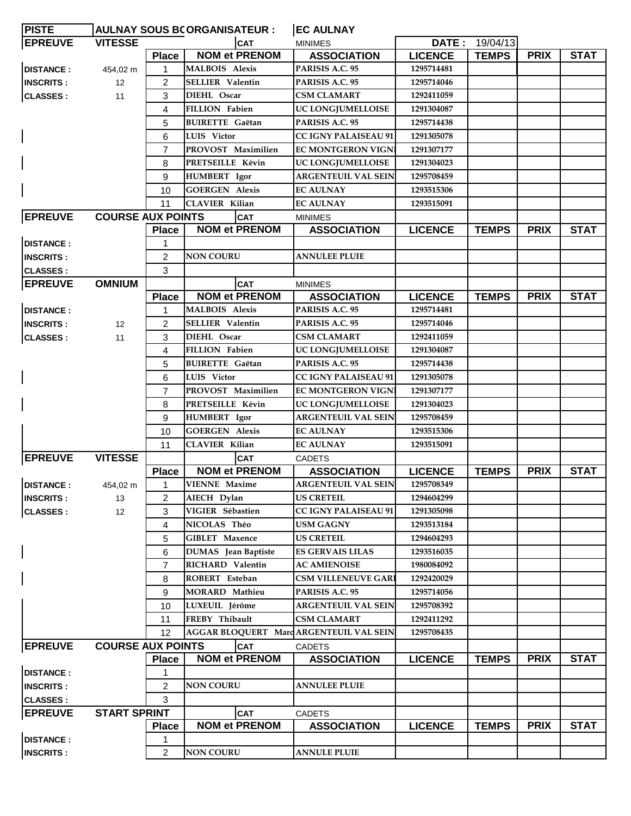| <b>PISTE</b>       | <b>AULNAY SOUS BCORGANISATEUR :</b> |                |                            | <b>EC AULNAY</b>                       |                |              |             |             |
|--------------------|-------------------------------------|----------------|----------------------------|----------------------------------------|----------------|--------------|-------------|-------------|
| <b>EPREUVE</b>     | <b>VITESSE</b><br><b>CAT</b>        |                | <b>MINIMES</b>             |                                        | DATE: 19/04/13 |              |             |             |
|                    |                                     | <b>Place</b>   | <b>NOM et PRENOM</b>       | <b>ASSOCIATION</b>                     | <b>LICENCE</b> | <b>TEMPS</b> | <b>PRIX</b> | <b>STAT</b> |
| <b>DISTANCE:</b>   | 454,02 m                            | $\mathbf{1}$   | <b>MALBOIS Alexis</b>      | PARISIS A.C. 95                        | 1295714481     |              |             |             |
| <b>INSCRITS:</b>   | $12 \overline{ }$                   | 2              | <b>SELLIER Valentin</b>    | PARISIS A.C. 95                        | 1295714046     |              |             |             |
| <b>CLASSES:</b>    | 11                                  | 3              | DIEHL Oscar                | <b>CSM CLAMART</b>                     | 1292411059     |              |             |             |
|                    |                                     | 4              | <b>FILLION Fabien</b>      | UC LONGJUMELLOISE                      | 1291304087     |              |             |             |
|                    |                                     | 5              | <b>BUIRETTE</b> Gaëtan     | PARISIS A.C. 95                        | 1295714438     |              |             |             |
|                    |                                     | 6              | LUIS Victor                | <b>CC IGNY PALAISEAU 91</b>            | 1291305078     |              |             |             |
|                    |                                     | $\overline{7}$ | PROVOST Maximilien         | <b>EC MONTGERON VIGN</b>               | 1291307177     |              |             |             |
|                    |                                     | 8              | PRETSEILLE Kévin           | UC LONGJUMELLOISE                      | 1291304023     |              |             |             |
|                    |                                     | 9              | HUMBERT Igor               | <b>ARGENTEUIL VAL SEIN</b>             | 1295708459     |              |             |             |
|                    |                                     | 10             | <b>GOERGEN Alexis</b>      | <b>EC AULNAY</b>                       | 1293515306     |              |             |             |
|                    |                                     | 11             | <b>CLAVIER Kilian</b>      | <b>EC AULNAY</b>                       | 1293515091     |              |             |             |
| <b>EPREUVE</b>     | <b>COURSE AUX POINTS</b>            |                | <b>CAT</b>                 | <b>MINIMES</b>                         |                |              |             |             |
|                    |                                     | <b>Place</b>   | <b>NOM et PRENOM</b>       | <b>ASSOCIATION</b>                     | <b>LICENCE</b> | <b>TEMPS</b> | <b>PRIX</b> | <b>STAT</b> |
| <b>DISTANCE:</b>   |                                     | 1              |                            |                                        |                |              |             |             |
| <b>INSCRITS:</b>   |                                     | $\overline{2}$ | <b>NON COURU</b>           | <b>ANNULEE PLUIE</b>                   |                |              |             |             |
| <b>CLASSES:</b>    |                                     | 3              |                            |                                        |                |              |             |             |
| <b>EPREUVE</b>     | <b>OMNIUM</b>                       |                | <b>CAT</b>                 | <b>MINIMES</b>                         |                |              |             |             |
|                    |                                     | <b>Place</b>   | <b>NOM et PRENOM</b>       | <b>ASSOCIATION</b>                     | <b>LICENCE</b> | <b>TEMPS</b> | <b>PRIX</b> | <b>STAT</b> |
| <b>DISTANCE:</b>   |                                     | 1              | <b>MALBOIS Alexis</b>      | PARISIS A.C. 95                        | 1295714481     |              |             |             |
| <b>IINSCRITS :</b> | 12                                  | 2              | <b>SELLIER Valentin</b>    | PARISIS A.C. 95                        | 1295714046     |              |             |             |
| <b>CLASSES:</b>    | 11                                  | 3              | DIEHL Oscar                | <b>CSM CLAMART</b>                     | 1292411059     |              |             |             |
|                    |                                     | 4              | <b>FILLION Fabien</b>      | UC LONGJUMELLOISE                      | 1291304087     |              |             |             |
|                    |                                     | 5              | <b>BUIRETTE</b> Gaëtan     | PARISIS A.C. 95                        | 1295714438     |              |             |             |
|                    |                                     | 6              | LUIS Victor                | <b>CC IGNY PALAISEAU 91</b>            | 1291305078     |              |             |             |
|                    |                                     | $\overline{7}$ | PROVOST Maximilien         | <b>EC MONTGERON VIGNI</b>              | 1291307177     |              |             |             |
|                    |                                     | 8              | PRETSEILLE Kévin           | UC LONGJUMELLOISE                      | 1291304023     |              |             |             |
|                    |                                     | 9              | HUMBERT Igor               | <b>ARGENTEUIL VAL SEIN</b>             | 1295708459     |              |             |             |
|                    |                                     | 10             | <b>GOERGEN Alexis</b>      | <b>EC AULNAY</b>                       | 1293515306     |              |             |             |
|                    |                                     | 11             | <b>CLAVIER Kilian</b>      | <b>EC AULNAY</b>                       | 1293515091     |              |             |             |
| <b>EPREUVE</b>     | <b>VITESSE</b>                      |                | <b>CAT</b>                 | <b>CADETS</b>                          |                |              |             |             |
|                    |                                     | <b>Place</b>   | <b>NOM et PRENOM</b>       | <b>ASSOCIATION</b>                     | <b>LICENCE</b> | <b>TEMPS</b> | <b>PRIX</b> | <b>STAT</b> |
| <b>DISTANCE:</b>   | 454,02 m                            |                | <b>VIENNE</b> Maxime       | <b>ARGENTEUIL VAL SEIN</b>             | 1295708349     |              |             |             |
| <b>INSCRITS:</b>   | 13                                  | 2              | AIECH Dylan                | <b>US CRETEIL</b>                      | 1294604299     |              |             |             |
| <b>CLASSES:</b>    | 12                                  | 3              | VIGIER Sébastien           | <b>CC IGNY PALAISEAU 91</b>            | 1291305098     |              |             |             |
|                    |                                     | 4              | NICOLAS Théo               | <b>USM GAGNY</b>                       | 1293513184     |              |             |             |
|                    |                                     | 5              | <b>GIBLET</b> Maxence      | <b>US CRETEIL</b>                      | 1294604293     |              |             |             |
|                    |                                     |                | <b>DUMAS</b> Jean Baptiste | <b>ES GERVAIS LILAS</b>                | 1293516035     |              |             |             |
|                    |                                     | 6              | RICHARD Valentin           | <b>AC AMIENOISE</b>                    | 1980084092     |              |             |             |
|                    |                                     | $\overline{7}$ |                            |                                        |                |              |             |             |
|                    |                                     | 8              | ROBERT Esteban             | <b>CSM VILLENEUVE GARI</b>             | 1292420029     |              |             |             |
|                    |                                     | 9              | MORARD Mathieu             | PARISIS A.C. 95                        | 1295714056     |              |             |             |
|                    |                                     | 10             | LUXEUIL Jérôme             | <b>ARGENTEUIL VAL SEIN</b>             | 1295708392     |              |             |             |
|                    |                                     | 11             | FREBY Thibault             | <b>CSM CLAMART</b>                     | 1292411292     |              |             |             |
|                    |                                     | 12             |                            | AGGAR BLOQUERT MarcARGENTEUIL VAL SEIN | 1295708435     |              |             |             |
| <b>EPREUVE</b>     | <b>COURSE AUX POINTS</b>            |                | <b>CAT</b>                 | <b>CADETS</b>                          |                |              |             |             |
|                    |                                     | <b>Place</b>   | <b>NOM et PRENOM</b>       | <b>ASSOCIATION</b>                     | <b>LICENCE</b> | <b>TEMPS</b> | <b>PRIX</b> | <b>STAT</b> |
| <b>DISTANCE:</b>   |                                     | 1              |                            |                                        |                |              |             |             |
| <b>INSCRITS:</b>   |                                     | $\overline{2}$ | <b>NON COURU</b>           | <b>ANNULEE PLUIE</b>                   |                |              |             |             |
| <b>CLASSES:</b>    |                                     | 3              |                            |                                        |                |              |             |             |
| <b>EPREUVE</b>     | <b>START SPRINT</b>                 |                | <b>CAT</b>                 | <b>CADETS</b>                          |                |              |             |             |
|                    |                                     | <b>Place</b>   | <b>NOM et PRENOM</b>       | <b>ASSOCIATION</b>                     | <b>LICENCE</b> | <b>TEMPS</b> | <b>PRIX</b> | <b>STAT</b> |
| <b>DISTANCE:</b>   |                                     | 1              |                            |                                        |                |              |             |             |
| <b>INSCRITS:</b>   |                                     | 2              | <b>NON COURU</b>           | <b>ANNULE PLUIE</b>                    |                |              |             |             |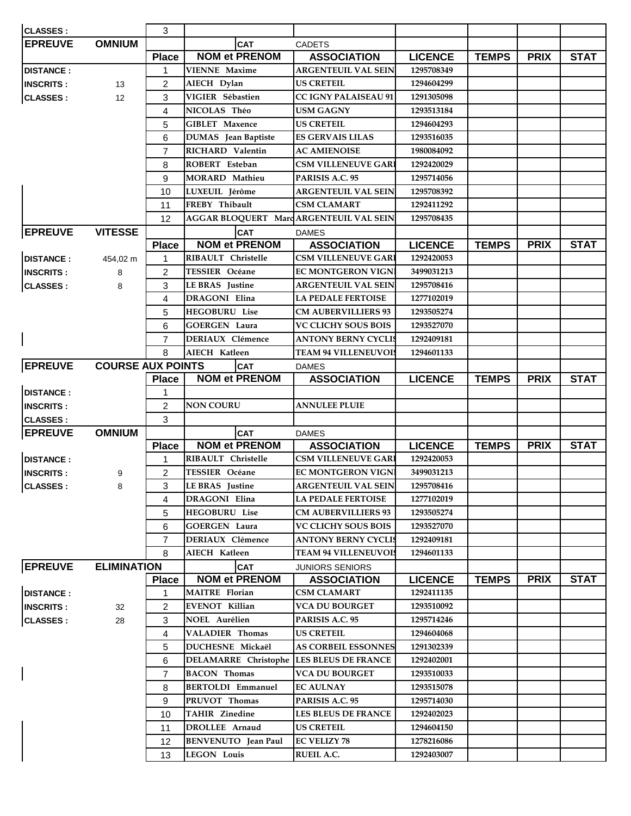| <b>CLASSES:</b>  |                          | 3              |                                                  |                                          |                |              |             |             |
|------------------|--------------------------|----------------|--------------------------------------------------|------------------------------------------|----------------|--------------|-------------|-------------|
| <b>EPREUVE</b>   | <b>OMNIUM</b>            |                | <b>CAT</b>                                       | <b>CADETS</b>                            |                |              |             |             |
|                  |                          | <b>Place</b>   | <b>NOM et PRENOM</b>                             | <b>ASSOCIATION</b>                       | <b>LICENCE</b> | <b>TEMPS</b> | <b>PRIX</b> | <b>STAT</b> |
| <b>DISTANCE:</b> |                          | 1              | <b>VIENNE Maxime</b>                             | <b>ARGENTEUIL VAL SEIN</b>               | 1295708349     |              |             |             |
| <b>INSCRITS:</b> | 13                       | 2              | AIECH Dylan                                      | <b>US CRETEIL</b>                        | 1294604299     |              |             |             |
| <b>CLASSES:</b>  | 12                       | 3              | VIGIER Sébastien                                 | <b>CC IGNY PALAISEAU 91</b>              | 1291305098     |              |             |             |
|                  |                          | 4              | NICOLAS Théo                                     | <b>USM GAGNY</b>                         | 1293513184     |              |             |             |
|                  |                          | 5              | <b>GIBLET Maxence</b>                            | <b>US CRETEIL</b>                        | 1294604293     |              |             |             |
|                  |                          | 6              | <b>DUMAS</b> Jean Baptiste                       | <b>ES GERVAIS LILAS</b>                  | 1293516035     |              |             |             |
|                  |                          | $\overline{7}$ | RICHARD Valentin                                 | <b>AC AMIENOISE</b>                      | 1980084092     |              |             |             |
|                  |                          | 8              | ROBERT Esteban                                   | <b>CSM VILLENEUVE GAR</b>                | 1292420029     |              |             |             |
|                  |                          | 9              | <b>MORARD Mathieu</b>                            | PARISIS A.C. 95                          | 1295714056     |              |             |             |
|                  |                          | 10             | LUXEUIL Jérôme                                   | ARGENTEUIL VAL SEIN                      | 1295708392     |              |             |             |
|                  |                          | 11             | FREBY Thibault                                   | <b>CSM CLAMART</b>                       | 1292411292     |              |             |             |
|                  |                          | 12             | AGGAR BLOQUERT MarcARGENTEUIL VAL SEIN           |                                          | 1295708435     |              |             |             |
| <b>EPREUVE</b>   | <b>VITESSE</b>           |                | <b>CAT</b>                                       | <b>DAMES</b>                             |                |              |             |             |
|                  |                          | <b>Place</b>   | <b>NOM et PRENOM</b>                             | <b>ASSOCIATION</b>                       | <b>LICENCE</b> | <b>TEMPS</b> | <b>PRIX</b> | <b>STAT</b> |
| <b>DISTANCE:</b> | 454,02 m                 | 1              | RIBAULT Christelle                               | <b>CSM VILLENEUVE GARI</b>               | 1292420053     |              |             |             |
| <b>INSCRITS:</b> | 8                        | $\overline{c}$ | TESSIER Océane                                   | <b>EC MONTGERON VIGN</b>                 | 3499031213     |              |             |             |
| CLASSES :        | 8                        | 3              | <b>LE BRAS</b> Justine                           | <b>ARGENTEUIL VAL SEIN</b>               | 1295708416     |              |             |             |
|                  |                          | 4              | <b>DRAGONI Elina</b>                             | <b>LA PEDALE FERTOISE</b>                | 1277102019     |              |             |             |
|                  |                          | 5              | <b>HEGOBURU</b> Lise                             | <b>CM AUBERVILLIERS 93</b>               | 1293505274     |              |             |             |
|                  |                          | 6              | <b>GOERGEN Laura</b>                             | <b>VC CLICHY SOUS BOIS</b>               | 1293527070     |              |             |             |
|                  |                          | $\overline{7}$ | <b>DERIAUX Clémence</b>                          | <b>ANTONY BERNY CYCLIS</b>               | 1292409181     |              |             |             |
|                  |                          | 8              | AIECH Katleen                                    | <b>TEAM 94 VILLENEUVOI</b>               | 1294601133     |              |             |             |
| <b>EPREUVE</b>   | <b>COURSE AUX POINTS</b> |                | <b>CAT</b>                                       | <b>DAMES</b>                             |                |              |             |             |
|                  |                          | <b>Place</b>   | <b>NOM et PRENOM</b>                             | <b>ASSOCIATION</b>                       | <b>LICENCE</b> | <b>TEMPS</b> | <b>PRIX</b> | <b>STAT</b> |
| <b>DISTANCE:</b> |                          | 1              |                                                  |                                          |                |              |             |             |
| <b>INSCRITS:</b> |                          | 2              | <b>NON COURU</b>                                 | <b>ANNULEE PLUIE</b>                     |                |              |             |             |
| CLASSES:         |                          | 3              |                                                  |                                          |                |              |             |             |
| <b>EPREUVE</b>   | <b>OMNIUM</b>            |                | <b>CAT</b>                                       | <b>DAMES</b>                             |                |              |             |             |
|                  |                          | <b>Place</b>   | <b>NOM et PRENOM</b>                             | <b>ASSOCIATION</b>                       | <b>LICENCE</b> | <b>TEMPS</b> | <b>PRIX</b> | <b>STAT</b> |
| <b>DISTANCE:</b> |                          | 1              | RIBAULT Christelle                               | <b>CSM VILLENEUVE GARI</b>               | 1292420053     |              |             |             |
| <b>INSCRITS:</b> | 9                        | 2              | <b>TESSIER Océane</b>                            | <b>EC MONTGERON VIGN</b>                 | 3499031213     |              |             |             |
| CLASSES :        | 8                        | 3              | <b>LE BRAS</b> Justine                           | <b>ARGENTEUIL VAL SEIN</b>               | 1295708416     |              |             |             |
|                  |                          | 4              | DRAGONI Elina                                    | <b>LA PEDALE FERTOISE</b>                | 1277102019     |              |             |             |
|                  |                          | 5              | <b>HEGOBURU Lise</b>                             | <b>CM AUBERVILLIERS 93</b>               | 1293505274     |              |             |             |
|                  |                          | 6              | <b>GOERGEN Laura</b>                             | <b>VC CLICHY SOUS BOIS</b>               | 1293527070     |              |             |             |
|                  |                          | $\overline{7}$ | <b>DERIAUX</b> Clémence                          | <b>ANTONY BERNY CYCLIS</b>               | 1292409181     |              |             |             |
|                  |                          | 8              | AIECH Katleen                                    | <b>TEAM 94 VILLENEUVOIS</b>              | 1294601133     |              |             |             |
| <b>EPREUVE</b>   | <b>ELIMINATION</b>       |                | <b>CAT</b>                                       | <b>JUNIORS SENIORS</b>                   |                |              |             |             |
|                  |                          | <b>Place</b>   | <b>NOM et PRENOM</b>                             | <b>ASSOCIATION</b>                       | <b>LICENCE</b> | <b>TEMPS</b> | <b>PRIX</b> | <b>STAT</b> |
| <b>DISTANCE:</b> |                          | 1              | <b>MAITRE</b> Florian                            | <b>CSM CLAMART</b>                       | 1292411135     |              |             |             |
| <b>INSCRITS:</b> | 32                       | $\overline{2}$ | <b>EVENOT Killian</b>                            | <b>VCA DU BOURGET</b>                    | 1293510092     |              |             |             |
|                  | 28                       | 3              | NOEL Aurélien                                    | PARISIS A.C. 95                          | 1295714246     |              |             |             |
| <b>CLASSES:</b>  |                          | 4              | VALADIER Thomas                                  | <b>US CRETEIL</b>                        | 1294604068     |              |             |             |
|                  |                          | 5              | DUCHESNE Mickaël                                 | <b>AS CORBEIL ESSONNES</b>               | 1291302339     |              |             |             |
|                  |                          |                |                                                  |                                          |                |              |             |             |
|                  |                          | 6              | <b>DELAMARRE</b> Christophe                      | <b>LES BLEUS DE FRANCE</b>               | 1292402001     |              |             |             |
|                  |                          | $\overline{7}$ | <b>BACON</b> Thomas                              | <b>VCA DU BOURGET</b>                    | 1293510033     |              |             |             |
|                  |                          | 8              | <b>BERTOLDI Emmanuel</b>                         | <b>EC AULNAY</b>                         | 1293515078     |              |             |             |
|                  |                          | 9              | PRUVOT Thomas                                    | PARISIS A.C. 95                          | 1295714030     |              |             |             |
|                  |                          |                |                                                  |                                          | 1292402023     |              |             |             |
|                  |                          | 10             | <b>TAHIR Zinedine</b>                            | LES BLEUS DE FRANCE                      |                |              |             |             |
|                  |                          | 11             | DROLLEE Arnaud                                   | <b>US CRETEIL</b>                        | 1294604150     |              |             |             |
|                  |                          | 12<br>13       | <b>BENVENUTO</b> Jean Paul<br><b>LEGON Louis</b> | <b>EC VELIZY 78</b><br><b>RUEIL A.C.</b> | 1278216086     |              |             |             |